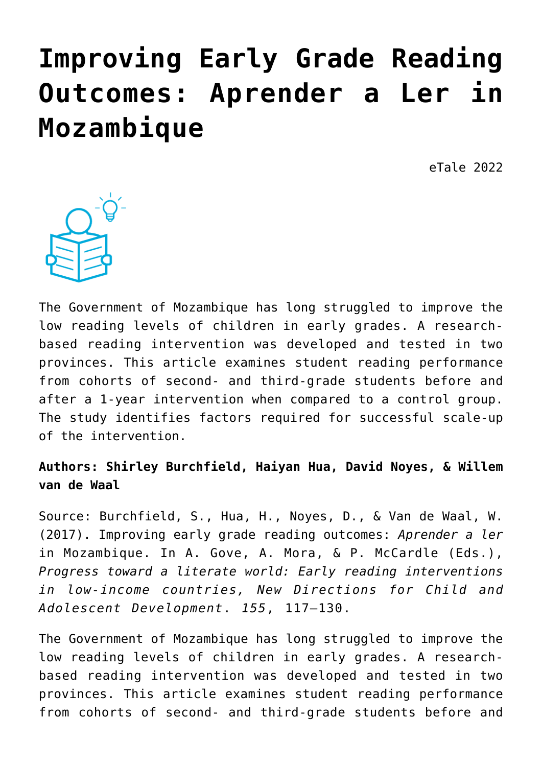# **[Improving Early Grade Reading](https://dev.taleafrica.com/2021/04/12/improving-early-grade-reading-outcomes-aprender-a-ler-in-mozambique/) [Outcomes: Aprender a Ler in](https://dev.taleafrica.com/2021/04/12/improving-early-grade-reading-outcomes-aprender-a-ler-in-mozambique/) [Mozambique](https://dev.taleafrica.com/2021/04/12/improving-early-grade-reading-outcomes-aprender-a-ler-in-mozambique/)**

eTale 2022



The Government of Mozambique has long struggled to improve the low reading levels of children in early grades. A researchbased reading intervention was developed and tested in two provinces. This article examines student reading performance from cohorts of second- and third-grade students before and after a 1-year intervention when compared to a control group. The study identifies factors required for successful scale-up of the intervention.

## **Authors: Shirley Burchfield, Haiyan Hua, David Noyes, & Willem van de Waal**

Source: Burchfield, S., Hua, H., Noyes, D., & Van de Waal, W. (2017). Improving early grade reading outcomes: *Aprender a ler* in Mozambique. In A. Gove, A. Mora, & P. McCardle (Eds.), *Progress toward a literate world: Early reading interventions in low-income countries, New Directions for Child and Adolescent Development*. *155*, 117–130.

The Government of Mozambique has long struggled to improve the low reading levels of children in early grades. A researchbased reading intervention was developed and tested in two provinces. This article examines student reading performance from cohorts of second- and third-grade students before and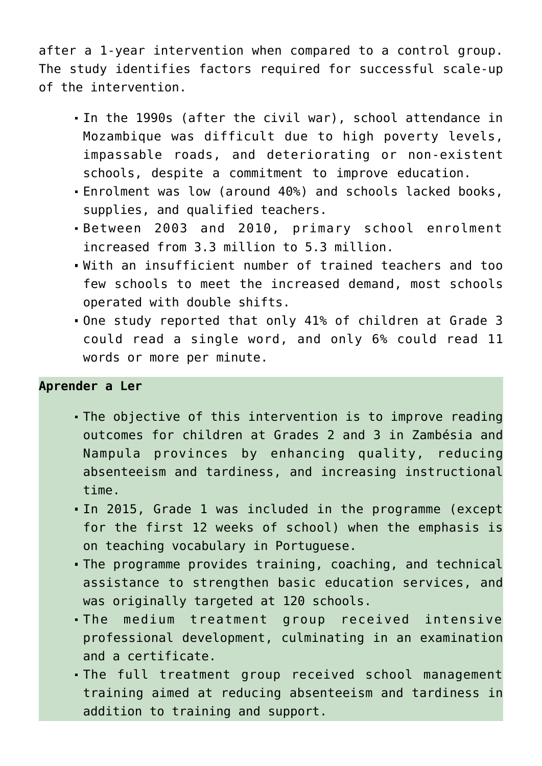after a 1-year intervention when compared to a control group. The study identifies factors required for successful scale-up of the intervention.

- In the 1990s (after the civil war), school attendance in Mozambique was difficult due to high poverty levels, impassable roads, and deteriorating or non-existent schools, despite a commitment to improve education.
- Enrolment was low (around 40%) and schools lacked books, supplies, and qualified teachers.
- Between 2003 and 2010, primary school enrolment increased from 3.3 million to 5.3 million.
- With an insufficient number of trained teachers and too few schools to meet the increased demand, most schools operated with double shifts.
- One study reported that only 41% of children at Grade 3 could read a single word, and only 6% could read 11 words or more per minute.

#### **Aprender a Ler**

- The objective of this intervention is to improve reading outcomes for children at Grades 2 and 3 in Zambésia and Nampula provinces by enhancing quality, reducing absenteeism and tardiness, and increasing instructional time.
- In 2015, Grade 1 was included in the programme (except for the first 12 weeks of school) when the emphasis is on teaching vocabulary in Portuguese.
- The programme provides training, coaching, and technical assistance to strengthen basic education services, and was originally targeted at 120 schools.
- The medium treatment group received intensive professional development, culminating in an examination and a certificate.
- The full treatment group received school management training aimed at reducing absenteeism and tardiness in addition to training and support.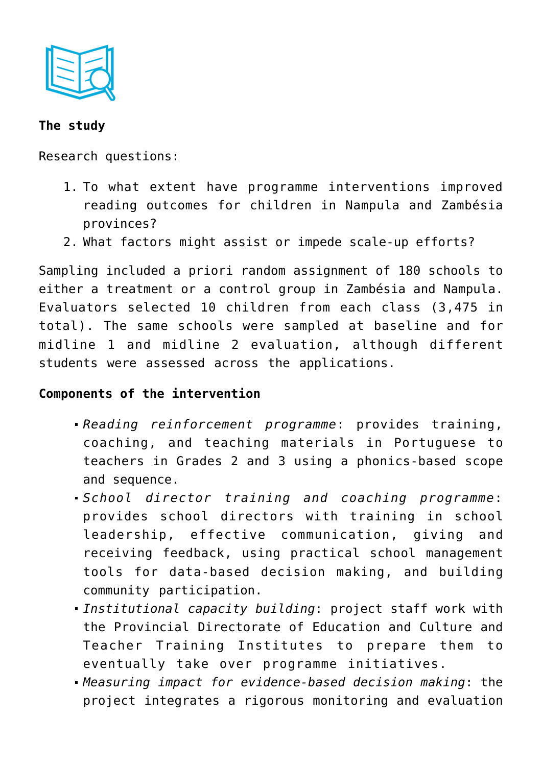

## **The study**

Research questions:

- 1. To what extent have programme interventions improved reading outcomes for children in Nampula and Zambésia provinces?
- 2. What factors might assist or impede scale-up efforts?

Sampling included a priori random assignment of 180 schools to either a treatment or a control group in Zambésia and Nampula. Evaluators selected 10 children from each class (3,475 in total). The same schools were sampled at baseline and for midline 1 and midline 2 evaluation, although different students were assessed across the applications.

## **Components of the intervention**

- *Reading reinforcement programme*: provides training, coaching, and teaching materials in Portuguese to teachers in Grades 2 and 3 using a phonics-based scope and sequence.
- *School director training and coaching programme*: provides school directors with training in school leadership, effective communication, giving and receiving feedback, using practical school management tools for data-based decision making, and building community participation.
- *Institutional capacity building*: project staff work with the Provincial Directorate of Education and Culture and Teacher Training Institutes to prepare them to eventually take over programme initiatives.
- *Measuring impact for evidence-based decision making*: the project integrates a rigorous monitoring and evaluation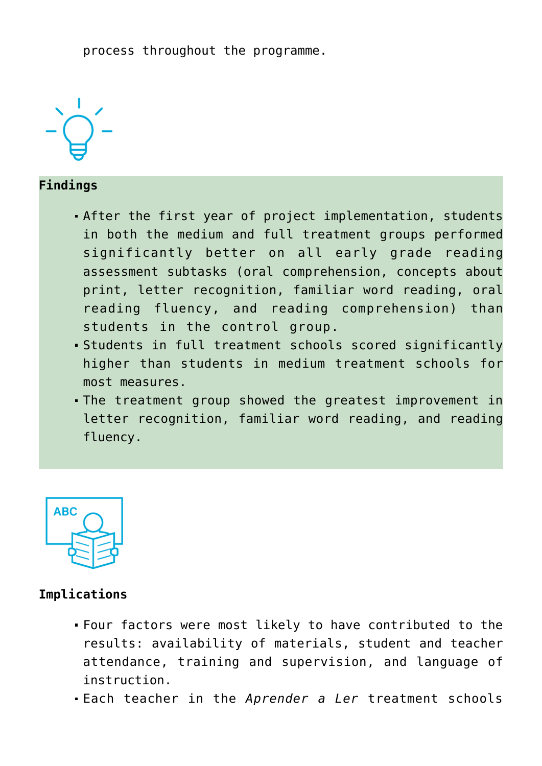process throughout the programme.



**Findings**

- After the first year of project implementation, students in both the medium and full treatment groups performed significantly better on all early grade reading assessment subtasks (oral comprehension, concepts about print, letter recognition, familiar word reading, oral reading fluency, and reading comprehension) than students in the control group.
- Students in full treatment schools scored significantly higher than students in medium treatment schools for most measures.
- The treatment group showed the greatest improvement in letter recognition, familiar word reading, and reading fluency.



## **Implications**

- Four factors were most likely to have contributed to the results: availability of materials, student and teacher attendance, training and supervision, and language of instruction.
- Each teacher in the *Aprender a Ler* treatment schools